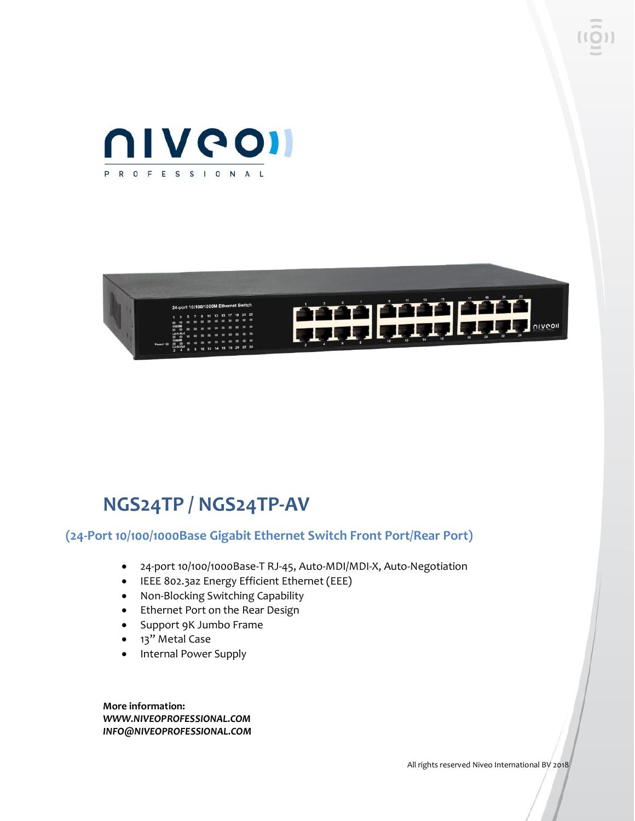



# **NGS24TP / NGS24TP-AV**

#### **(24-Port 10/100/1000Base Gigabit Ethernet Switch Front Port/Rear Port)**

- 24-port 10/100/1000Base-T RJ-45, Auto-MDI/MDI-X, Auto-Negotiation
- IEEE 802.3az Energy Efficient Ethernet (EEE)
- Non-Blocking Switching Capability
- Ethernet Port on the Rear Design
- Support 9K Jumbo Frame
- 13" Metal Case
- Internal Power Supply

**More information:** *WWW.NIVEOPROFESSIONAL.COM INFO@NIVEOPROFESSIONAL.COM*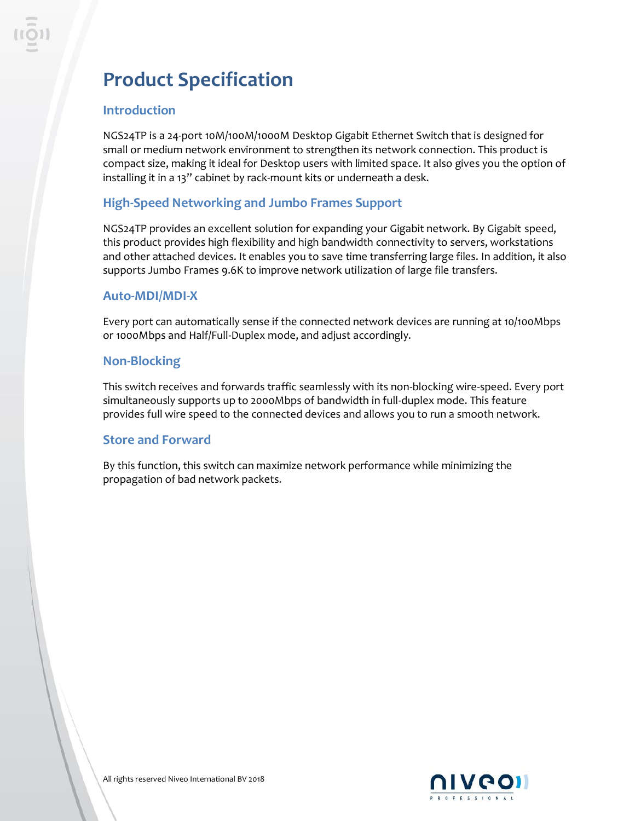# **Product Specification**

## **Introduction**

NGS24TP is a 24-port 10M/100M/1000M Desktop Gigabit Ethernet Switch that is designed for small or medium network environment to strengthen its network connection. This product is compact size, making it ideal for Desktop users with limited space. It also gives you the option of installing it in a 13" cabinet by rack-mount kits or underneath a desk.

## **High-Speed Networking and Jumbo Frames Support**

NGS24TP provides an excellent solution for expanding your Gigabit network. By Gigabit speed, this product provides high flexibility and high bandwidth connectivity to servers, workstations and other attached devices. It enables you to save time transferring large files. In addition, it also supports Jumbo Frames 9.6K to improve network utilization of large file transfers.

#### **Auto-MDI/MDI-X**

Every port can automatically sense if the connected network devices are running at 10/100Mbps or 1000Mbps and Half/Full-Duplex mode, and adjust accordingly.

## **Non-Blocking**

This switch receives and forwards traffic seamlessly with its non-blocking wire-speed. Every port simultaneously supports up to 2000Mbps of bandwidth in full-duplex mode. This feature provides full wire speed to the connected devices and allows you to run a smooth network.

#### **Store and Forward**

By this function, this switch can maximize network performance while minimizing the propagation of bad network packets.